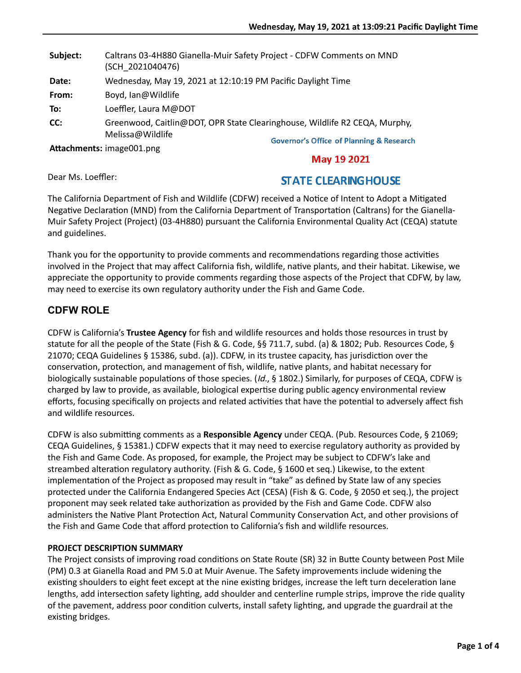| Subject: | Caltrans 03-4H880 Gianella-Muir Safety Project - CDFW Comments on MND<br>(SCH 2021040476) |
|----------|-------------------------------------------------------------------------------------------|
| Date:    | Wednesday, May 19, 2021 at 12:10:19 PM Pacific Daylight Time                              |
| From:    | Boyd, Ian@Wildlife                                                                        |
| To:      | Loeffler, Laura M@DOT                                                                     |
| CC:      | Greenwood, Caitlin@DOT, OPR State Clearinghouse, Wildlife R2 CEQA, Murphy,                |
|          | Melissa@Wildlife<br><b>Governor's Office of Planning &amp; Research</b>                   |
|          | Attachments: image001.png<br><b>BA 400004</b>                                             |

**May 19 2021** 

Dear Ms. Loeffler:

# **STATE CLEARING HOUSE**

The California Department of Fish and Wildlife (CDFW) received a Notice of Intent to Adopt a Mitigated Negative Declaration (MND) from the California Department of Transportation (Caltrans) for the Gianella-Muir Safety Project (Project) (03-4H880) pursuant the California Environmental Quality Act (CEQA) statute and guidelines.

Thank you for the opportunity to provide comments and recommendations regarding those activities involved in the Project that may affect California fish, wildlife, native plants, and their habitat. Likewise, we appreciate the opportunity to provide comments regarding those aspects of the Project that CDFW, by law, may need to exercise its own regulatory authority under the Fish and Game Code.

## **CDFW ROLE**

CDFW is California's **Trustee Agency** for fish and wildlife resources and holds those resources in trust by statute for all the people of the State (Fish & G. Code, §§ 711.7, subd. (a) & 1802; Pub. Resources Code, § 21070; CEQA Guidelines § 15386, subd. (a)). CDFW, in its trustee capacity, has jurisdiction over the conservation, protection, and management of fish, wildlife, native plants, and habitat necessary for biologically sustainable populations of those species. (Id., § 1802.) Similarly, for purposes of CEQA, CDFW is charged by law to provide, as available, biological expertise during public agency environmental review efforts, focusing specifically on projects and related activities that have the potential to adversely affect fish and wildlife resources.

CDFW is also submitting comments as a Responsible Agency under CEQA. (Pub. Resources Code, § 21069; CEQA Guidelines, § 15381.) CDFW expects that it may need to exercise regulatory authority as provided by the Fish and Game Code. As proposed, for example, the Project may be subject to CDFW's lake and streambed alteration regulatory authority. (Fish & G. Code, § 1600 et seq.) Likewise, to the extent implementation of the Project as proposed may result in "take" as defined by State law of any species protected under the California Endangered Species Act (CESA) (Fish & G. Code, § 2050 et seq.), the project proponent may seek related take authorization as provided by the Fish and Game Code. CDFW also administers the Native Plant Protection Act, Natural Community Conservation Act, and other provisions of the Fish and Game Code that afford protection to California's fish and wildlife resources.

## **PROJECT DESCRIPTION SUMMARY**

The Project consists of improving road conditions on State Route (SR) 32 in Butte County between Post Mile (PM) 0.3 at Gianella Road and PM 5.0 at Muir Avenue. The Safety improvements include widening the existing shoulders to eight feet except at the nine existing bridges, increase the left turn deceleration lane lengths, add intersection safety lighting, add shoulder and centerline rumple strips, improve the ride quality of the pavement, address poor condition culverts, install safety lighting, and upgrade the guardrail at the existing bridges.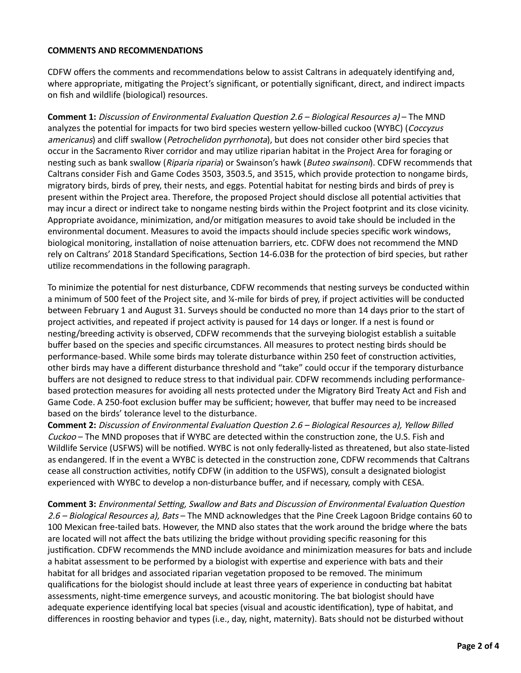#### **COMMENTS AND RECOMMENDATIONS**

CDFW offers the comments and recommendations below to assist Caltrans in adequately identifying and, where appropriate, mitigating the Project's significant, or potentially significant, direct, and indirect impacts on fish and wildlife (biological) resources.

**Comment 1:** Discussion of Environmental Evaluation Question 2.6 – Biological Resources a) – The MND analyzes the potential for impacts for two bird species western yellow-billed cuckoo (WYBC) (Coccyzus americanus) and cliff swallow (Petrochelidon pyrrhonota), but does not consider other bird species that occur in the Sacramento River corridor and may utilize riparian habitat in the Project Area for foraging or nesting such as bank swallow (Riparia riparia) or Swainson's hawk (Buteo swainsoni). CDFW recommends that Caltrans consider Fish and Game Codes 3503, 3503.5, and 3515, which provide protection to nongame birds, migratory birds, birds of prey, their nests, and eggs. Potential habitat for nesting birds and birds of prey is present within the Project area. Therefore, the proposed Project should disclose all potential activities that may incur a direct or indirect take to nongame nesting birds within the Project footprint and its close vicinity. Appropriate avoidance, minimization, and/or mitigation measures to avoid take should be included in the environmental document. Measures to avoid the impacts should include species specific work windows, biological monitoring, installation of noise attenuation barriers, etc. CDFW does not recommend the MND rely on Caltrans' 2018 Standard Specifications, Section 14-6.03B for the protection of bird species, but rather utilize recommendations in the following paragraph.

To minimize the potential for nest disturbance, CDFW recommends that nesting surveys be conducted within a minimum of 500 feet of the Project site, and  $\frac{1}{4}$ -mile for birds of prey, if project activities will be conducted between February 1 and August 31. Surveys should be conducted no more than 14 days prior to the start of project activities, and repeated if project activity is paused for 14 days or longer. If a nest is found or nesting/breeding activity is observed, CDFW recommends that the surveying biologist establish a suitable buffer based on the species and specific circumstances. All measures to protect nesting birds should be performance-based. While some birds may tolerate disturbance within 250 feet of construction activities, other birds may have a different disturbance threshold and "take" could occur if the temporary disturbance buffers are not designed to reduce stress to that individual pair. CDFW recommends including performancebased protection measures for avoiding all nests protected under the Migratory Bird Treaty Act and Fish and Game Code. A 250-foot exclusion buffer may be sufficient; however, that buffer may need to be increased based on the birds' tolerance level to the disturbance.

**Comment 2:** Discussion of Environmental Evaluation Question 2.6 – Biological Resources a), Yellow Billed  $Cuckoo$  – The MND proposes that if WYBC are detected within the construction zone, the U.S. Fish and Wildlife Service (USFWS) will be notified. WYBC is not only federally-listed as threatened, but also state-listed as endangered. If in the event a WYBC is detected in the construction zone, CDFW recommends that Caltrans cease all construction activities, notify CDFW (in addition to the USFWS), consult a designated biologist experienced with WYBC to develop a non-disturbance buffer, and if necessary, comply with CESA.

**Comment 3:** Environmental Setting, Swallow and Bats and Discussion of Environmental Evaluation Question 2.6 – Biological Resources a), Bats – The MND acknowledges that the Pine Creek Lagoon Bridge contains 60 to 100 Mexican free-tailed bats. However, the MND also states that the work around the bridge where the bats are located will not affect the bats utilizing the bridge without providing specific reasoning for this justification. CDFW recommends the MND include avoidance and minimization measures for bats and include a habitat assessment to be performed by a biologist with expertise and experience with bats and their habitat for all bridges and associated riparian vegetation proposed to be removed. The minimum qualifications for the biologist should include at least three years of experience in conducting bat habitat assessments, night-time emergence surveys, and acoustic monitoring. The bat biologist should have adequate experience identifying local bat species (visual and acoustic identification), type of habitat, and differences in roosting behavior and types (i.e., day, night, maternity). Bats should not be disturbed without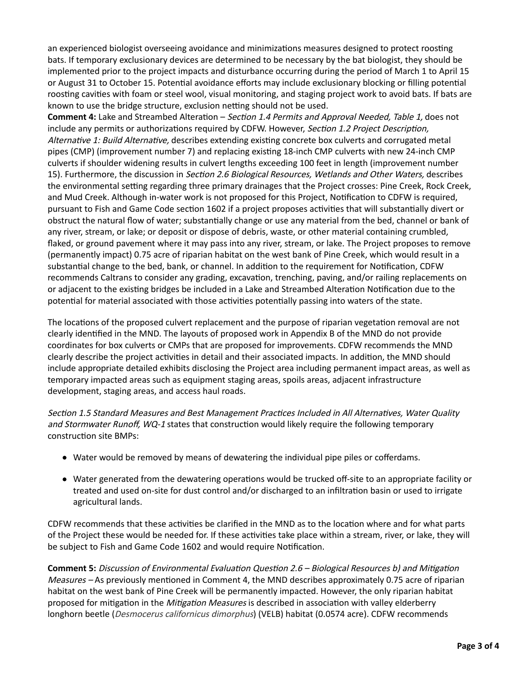an experienced biologist overseeing avoidance and minimizations measures designed to protect roosting bats. If temporary exclusionary devices are determined to be necessary by the bat biologist, they should be implemented prior to the project impacts and disturbance occurring during the period of March 1 to April 15 or August 31 to October 15. Potential avoidance efforts may include exclusionary blocking or filling potential roosting cavities with foam or steel wool, visual monitoring, and staging project work to avoid bats. If bats are known to use the bridge structure, exclusion netting should not be used.

**Comment 4:** Lake and Streambed Alteration – Section 1.4 Permits and Approval Needed, Table 1, does not include any permits or authorizations required by CDFW. However, Section 1.2 Project Description, Alternative 1: Build Alternative, describes extending existing concrete box culverts and corrugated metal pipes (CMP) (improvement number 7) and replacing existing 18-inch CMP culverts with new 24-inch CMP culverts if shoulder widening results in culvert lengths exceeding 100 feet in length (improvement number 15). Furthermore, the discussion in Section 2.6 Biological Resources, Wetlands and Other Waters, describes the environmental setting regarding three primary drainages that the Project crosses: Pine Creek, Rock Creek, and Mud Creek. Although in-water work is not proposed for this Project, Notification to CDFW is required, pursuant to Fish and Game Code section 1602 if a project proposes activities that will substantially divert or obstruct the natural flow of water; substantially change or use any material from the bed, channel or bank of any river, stream, or lake; or deposit or dispose of debris, waste, or other material containing crumbled, flaked, or ground pavement where it may pass into any river, stream, or lake. The Project proposes to remove (permanently impact) 0.75 acre of riparian habitat on the west bank of Pine Creek, which would result in a substantial change to the bed, bank, or channel. In addition to the requirement for Notification, CDFW recommends Caltrans to consider any grading, excavation, trenching, paving, and/or railing replacements on or adjacent to the existing bridges be included in a Lake and Streambed Alteration Notification due to the potential for material associated with those activities potentially passing into waters of the state.

The locations of the proposed culvert replacement and the purpose of riparian vegetation removal are not clearly identified in the MND. The layouts of proposed work in Appendix B of the MND do not provide coordinates for box culverts or CMPs that are proposed for improvements. CDFW recommends the MND clearly describe the project activities in detail and their associated impacts. In addition, the MND should include appropriate detailed exhibits disclosing the Project area including permanent impact areas, as well as temporary impacted areas such as equipment staging areas, spoils areas, adjacent infrastructure development, staging areas, and access haul roads.

Section 1.5 Standard Measures and Best Management Practices Included in All Alternatives, Water Quality and Stormwater Runoff, WQ-1 states that construction would likely require the following temporary construction site BMPs:

- Water would be removed by means of dewatering the individual pipe piles or cofferdams.
- $\bullet$  Water generated from the dewatering operations would be trucked off-site to an appropriate facility or treated and used on-site for dust control and/or discharged to an infiltration basin or used to irrigate agricultural lands.

CDFW recommends that these activities be clarified in the MND as to the location where and for what parts of the Project these would be needed for. If these activities take place within a stream, river, or lake, they will be subject to Fish and Game Code 1602 and would require Notification.

**Comment 5:** Discussion of Environmental Evaluation Question 2.6 – Biological Resources b) and Mitigation Measures – As previously mentioned in Comment 4, the MND describes approximately 0.75 acre of riparian habitat on the west bank of Pine Creek will be permanently impacted. However, the only riparian habitat proposed for mitigation in the Mitigation Measures is described in association with valley elderberry longhorn beetle (*Desmocerus californicus dimorphus*) (VELB) habitat (0.0574 acre). CDFW recommends